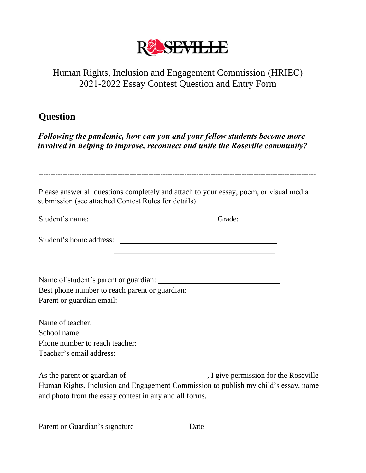

### Human Rights, Inclusion and Engagement Commission (HRIEC) 2021-2022 Essay Contest Question and Entry Form

## **Question**

*Following the pandemic, how can you and your fellow students become more involved in helping to improve, reconnect and unite the Roseville community?*

| submission (see attached Contest Rules for details).                                | Please answer all questions completely and attach to your essay, poem, or visual media                              |
|-------------------------------------------------------------------------------------|---------------------------------------------------------------------------------------------------------------------|
| Student's name: Change and Changes Contained a Grade:                               |                                                                                                                     |
| Student's home address:                                                             |                                                                                                                     |
|                                                                                     | <u> 1989 - Johann Stoff, amerikansk politiker (d. 1989)</u><br><u> 1989 - Johann Barn, fransk politik (f. 1989)</u> |
|                                                                                     |                                                                                                                     |
| Best phone number to reach parent or guardian: _________________________________    |                                                                                                                     |
|                                                                                     |                                                                                                                     |
|                                                                                     |                                                                                                                     |
|                                                                                     |                                                                                                                     |
|                                                                                     |                                                                                                                     |
|                                                                                     |                                                                                                                     |
|                                                                                     |                                                                                                                     |
| Human Rights, Inclusion and Engagement Commission to publish my child's essay, name |                                                                                                                     |

Parent or Guardian's signature Date